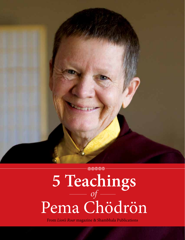

**\$\$\$\$\$\$** 

# **5 Teachings** Pema Chödrön *of*

From *Lion's Roar* magazine & Shambhala Publications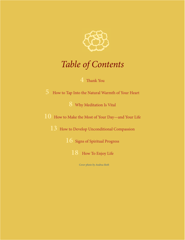

## *Table of Contents*

#### Thank You

How to Tap Into the Natural Warmth of Your Heart

Why Meditation Is Vital

How to Make the Most of Your Day—and Your Life

How to Develop Unconditional Compassion

Signs of Spiritual Progress

How To Enjoy Life

*Cover photo by Andrea Roth*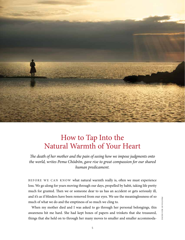

## How to Tap Into the Natural Warmth of Your Heart

*The death of her mother and the pain of seeing how we impose judgments onto the world, writes Pema Chödrön*, *gave rise to great compassion for our shared human predicament.*

BEFORE WE CAN KNOW what natural warmth really is, often we must experience loss. We go along for years moving through our days, propelled by habit, taking life pretty much for granted. Then we or someone dear to us has an accident or gets seriously ill, and it's as if blinders have been removed from our eyes. We see the meaninglessness of so much of what we do and the emptiness of so much we cling to.

When my mother died and I was asked to go through her personal belongings, this awareness hit me hard. She had kept boxes of papers and trinkets that she treasured, things that she held on to through her many moves to smaller and smaller accommoda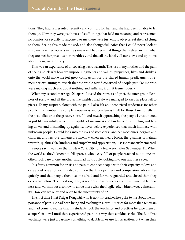tions. They had represented security and comfort for her, and she had been unable to let them go. Now they were just boxes of stuff, things that held no meaning and represented no comfort or security to anyone. For me these were just empty objects, yet she had clung to them. Seeing this made me sad, and also thoughtful. After that I could never look at my own treasured objects in the same way. I had seen that things themselves are just what they are, neither precious nor worthless, and that all the labels, all our views and opinions about them, are arbitrary.

This was an experience of uncovering basic warmth. The loss of my mother and the pain of seeing so clearly how we impose judgments and values, prejudices, likes and dislikes, onto the world made me feel great compassion for our shared human predicament. I remember explaining to myself that the whole world consisted of people just like me who were making much ado about nothing and suffering from it tremendously.

When my second marriage fell apart, I tasted the rawness of grief, the utter groundlessness of sorrow, and all the protective shields I had always managed to keep in place fell to pieces. To my surprise, along with the pain, I also felt an uncontrived tenderness for other people. I remember the complete openness and gentleness I felt for those I met briefly in the post office or at the grocery store. I found myself approaching the people I encountered as just like me—fully alive, fully capable of meanness and kindness, of stumbling and falling down, and of standing up again. I'd never before experienced that much intimacy with unknown people. I could look into the eyes of store clerks and car mechanics, beggars and children, and feel our sameness. Somehow when my heart broke, the qualities of natural warmth, qualities like kindness and empathy and appreciation, just spontaneously emerged.

People say it was like that in New York City for a few weeks after September 11. When the world as they'd known it fell apart, a whole city full of people reached out to one another, took care of one another, and had no trouble looking into one another's eyes.

It is fairly common for crisis and pain to connect people with their capacity to love and care about one another. It is also common that this openness and compassion fades rather quickly, and that people then become afraid and far more guarded and closed than they ever were before. The question, then, is not only how to uncover our fundamental tenderness and warmth but also how to abide there with the fragile, often bittersweet vulnerability. How can we relax and open to the uncertainty of it?

The first time I met Dzigar Kongtrül, who is now my teacher, he spoke to me about the importance of pain. He had been living and teaching in North America for more than ten years and had come to realize that his students took the teachings and practices he gave them at a superficial level until they experienced pain in a way they couldn't shake. The Buddhist teachings were just a pastime, something to dabble in or use for relaxation, but when their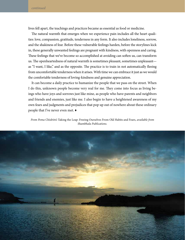lives fell apart, the teachings and practices became as essential as food or medicine.

The natural warmth that emerges when we experience pain includes all the heart qualities: love, compassion, gratitude, tenderness in any form. It also includes loneliness, sorrow, and the shakiness of fear. Before these vulnerable feelings harden, before the storylines kick in, these generally unwanted feelings are pregnant with kindness, with openness and caring. These feelings that we've become so accomplished at avoiding can soften us, can transform us. The openheartedness of natural warmth is sometimes pleasant, sometimes unpleasant as "I want, I like," and as the opposite. The practice is to train in not automatically fleeing from uncomfortable tenderness when it arises. With time we can embrace it just as we would the comfortable tenderness of loving-kindness and genuine appreciation.

It can become a daily practice to humanize the people that we pass on the street. When I do this, unknown people become very real for me. They come into focus as living beings who have joys and sorrows just like mine, as people who have parents and neighbors and friends and enemies, just like me. I also begin to have a heightened awareness of my own fears and judgments and prejudices that pop up out of nowhere about these ordinary people that I've never even met. ♦

*From Pema Chödrön's* Taking the Leap: Freeing Ourselves From Old Habits and Fears, *available from Shambhala Publications.*

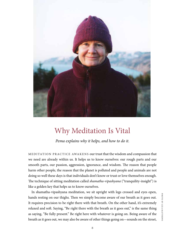

### Why Meditation Is Vital

*Pema explains why it helps, and how to do it.*

MEDITATION PRACTICE AWAKENS our trust that the wisdom and compassion that we need are already within us. It helps us to know ourselves: our rough parts and our smooth parts, our passion, aggression, ignorance, and wisdom. The reason that people harm other people, the reason that the planet is polluted and people and animals are not doing so well these days is that individuals don't know or trust or love themselves enough. The technique of sitting meditation called *shamatha-vipashyana* ("tranquility-insight") is like a golden key that helps us to know ourselves.

In shamatha-vipashyana meditation, we sit upright with legs crossed and eyes open, hands resting on our thighs. Then we simply become aware of our breath as it goes out. It requires precision to be right there with that breath. On the other hand, it's extremely relaxed and soft. Saying, "Be right there with the breath as it goes out," is the same thing as saying, "Be fully present." Be right here with whatever is going on. Being aware of the breath as it goes out, we may also be aware of other things going on—sounds on the street,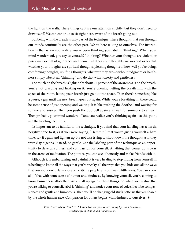the light on the walls. These things capture our attention slightly, but they don't need to draw us off. We can continue to sit right here, aware of the breath going out.

But being with the breath is only part of the technique. These thoughts that run through our minds continually are the other part. We sit here talking to ourselves. The instruction is that when you realize you've been thinking you label it "thinking." When your mind wanders off, you say to yourself, "thinking." Whether your thoughts are violent or passionate or full of ignorance and denial; whether your thoughts are worried or fearful; whether your thoughts are spiritual thoughts, pleasing thoughts of how well you're doing, comforting thoughts, uplifting thoughts, whatever they are—without judgment or harshness simply label it all "thinking," and do that with honesty and gentleness.

The touch on the breath is light: only about 25 percent of the awareness is on the breath. You're not grasping and fixating on it. You're opening, letting the breath mix with the space of the room, letting your breath just go out into space. Then there's something like a pause, a gap until the next breath goes out again. While you're breathing in, there could be some sense of just opening and waiting. It is like pushing the doorbell and waiting for someone to answer. Then you push the doorbell again and wait for someone to answer. Then probably your mind wanders off and you realize you're thinking again—at this point use the labeling technique.

It's important to be faithful to the technique. If you find that your labeling has a harsh, negative tone to it, as if you were saying, "Dammit!," that you're giving yourself a hard time, say it again and lighten up. It's not like trying to shoot down the thoughts as if they were clay pigeons. Instead, be gentle. Use the labeling part of the technique as an opportunity to develop softness and compassion for yourself. Anything that comes up is okay in the arena of meditation. The point is, you can see it honestly and make friends with it.

Although it is embarrassing and painful, it is very healing to stop hiding from yourself. It is healing to know all the ways that you're sneaky, all the ways that you hide out, all the ways that you shut down, deny, close off, criticize people, all your weird little ways. You can know all of that with some sense of humor and kindness. By knowing yourself, you're coming to know humanness altogether. We are all up against these things. So when you realize that you're talking to yourself, label it "thinking" and notice your tone of voice. Let it be compassionate and gentle and humorous. Then you'll be changing old stuck patterns that are shared by the whole human race. Compassion for others begins with kindness to ourselves. ♦

> *From* Start Where You Are: A Guide to Compassionate Living *by Pema Chödrön, available from Shambhala Publications.*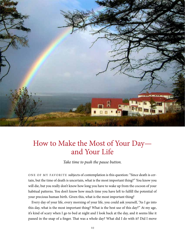

## How to Make the Most of Your Day and Your Life

*Take time to push the pause button.* 

ONE OF MY FAVORITE subjects of contemplation is this question: "Since death is certain, but the time of death is uncertain, what is the most important thing?" You know you will die, but you really don't know how long you have to wake up from the cocoon of your habitual patterns. You don't know how much time you have left to fulfill the potential of your precious human birth. Given this, what is the most important thing?

Every day of your life, every morning of your life, you could ask yourself, "As I go into this day, what is the most important thing? What is the best use of this day?" At my age, it's kind of scary when I go to bed at night and I look back at the day, and it seems like it passed in the snap of a finger. That was a whole day? What did I do with it? Did I move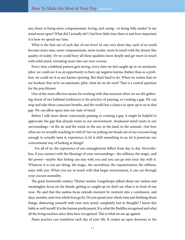any closer to being more compassionate, loving, and caring—to being fully awake? Is my mind more open? What did I actually do? I feel how little time there is and how important it is how we spend our time.

What is the best use of each day of our lives? In one very short day, each of us could become more sane, more compassionate, more tender, more in touch with the dream-like quality of reality. Or we could bury all these qualities more deeply and get more in touch with solid mind, retreating more into our own cocoon.

Every time a habitual pattern gets strong, every time we feel caught up or on automatic pilot, we could see it as an opportunity to burn up negative karma. Rather than as a problem, we could see it as our karma ripening. But that's hard to do. When we realize that we are hooked, that we're on automatic pilot, what do we do next? That is a central question for the practitioner.

One of the most effective means for working with that moment when we see the gathering storm of our habitual tendencies is the practice of pausing, or creating a gap. We can stop and take three conscious breaths, and the world has a chance to open up to us in that gap. We can allow space into our state of mind.

Before I talk more about consciously pausing or creating a gap, it might be helpful to appreciate the gap that already exists in our environment. Awakened mind exists in our surroundings—in the air and the wind, in the sea, in the land, in the animals—but how often are we actually touching in with it? Are we poking our heads out of our cocoons long enough to actually taste it, experience it, let it shift something in us, let it penetrate our conventional way of looking at things?

 For all of us, the experience of our entanglement differs from day to day. Nevertheless, if you connect with the blessings of your surroundings—the stillness, the magic, and the power—maybe that feeling can stay with you and you can go into your day with it. Whatever it is you are doing, the magic, the sacredness, the expansiveness, the stillness, stays with you. When you are in touch with that larger environment, it can cut through your cocoon mentality.

The great fourteenth-century Tibetan teacher Longchenpa talked about our useless and meaningless focus on the details, getting so caught up we don't see what is in front of our nose. He said that this useless focus extends moment by moment into a continuum, and days, months, and even whole lives go by. Do you spend your whole time just thinking about things, distracting yourself with your own mind, completely lost in thought? I know this habit so well myself. It is the human predicament. It is what the Buddha recognized and what all the living teachers since then have recognized. This is what we are up against.

Pause practice can transform each day of your life. It creates an open doorway to the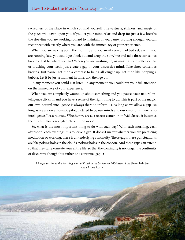sacredness of the place in which you find yourself. The vastness, stillness, and magic of the place will dawn upon you, if you let your mind relax and drop for just a few breaths the storyline you are working so hard to maintain. If you pause just long enough, you can reconnect with exactly where you are, with the immediacy of your experience.

When you are waking up in the morning and you aren't even out of bed yet, even if you are running late, you could just look out and drop the storyline and take three conscious breaths. Just be where you are! When you are washing up, or making your coffee or tea, or brushing your teeth, just create a gap in your discursive mind. Take three conscious breaths. Just pause. Let it be a contrast to being all caught up. Let it be like popping a bubble. Let it be just a moment in time, and then go on.

In any moment you could just listen. In any moment, you could put your full attention on the immediacy of your experience.

When you are completely wound up about something and you pause, your natural intelligence clicks in and you have a sense of the right thing to do. This is part of the magic: our own natural intelligence is always there to inform us, as long as we allow a gap. As long as we are on automatic pilot, dictated to by our minds and our emotions, there is no intelligence. It is a rat race. Whether we are at a retreat center or on Wall Street, it becomes the busiest, most entangled place in the world.

So, what is the most important thing to do with each day? With each morning, each afternoon, each evening? It is to leave a gap. It doesn't matter whether you are practicing meditation or working, there is an underlying continuity. These gaps, these punctuations, are like poking holes in the clouds, poking holes in the cocoon. And these gaps can extend so that they can permeate your entire life, so that the continuity is no longer the continuity of discursive thought but rather one continual gap. ♦

*A longer version of this teaching was published in the September 2008 issue of the* Shambhala Sun (*now* Lion's Roar)*.*

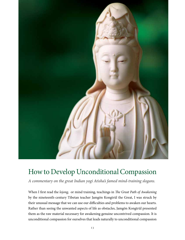

## How to Develop Unconditional Compassion

*A commentary on the great Indian yogi Atisha's famed mind-training slogans.*

When I first read the *lojong,* or mind training, teachings in *The Great Path of Awakening* by the nineteenth-century Tibetan teacher Jamgön Kongtrül the Great, I was struck by their unusual message that we can use our difficulties and problems to awaken our hearts. Rather than seeing the unwanted aspects of life as obstacles, Jamgön Kongtrül presented them as the raw material necessary for awakening genuine uncontrived compassion. It is unconditional compassion for ourselves that leads naturally to unconditional compassion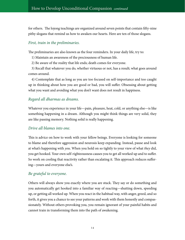for others. The lojong teachings are organized around seven points that contain fifty-nine pithy slogans that remind us how to awaken our hearts. Here are ten of those slogans.

#### *First, train in the preliminaries.*

The preliminaries are also known as the four reminders. In your daily life, try to:

- 1) Maintain an awareness of the preciousness of human life.
- 2) Be aware of the reality that life ends; death comes for everyone.

3) Recall that whatever you do, whether virtuous or not, has a result; what goes around comes around.

4) Contemplate that as long as you are too focused on self-importance and too caught up in thinking about how you are good or bad, you will suffer. Obsessing about getting what you want and avoiding what you don't want does not result in happiness.

#### *Regard all dharmas as dreams.*

Whatever you experience in your life—pain, pleasure, heat, cold, or anything else—is like something happening in a dream. Although you might think things are very solid, they are like passing memory. Nothing solid is really happening.

#### *Drive all blames into one.*

This is advice on how to work with your fellow beings. Everyone is looking for someone to blame and therefore aggression and neurosis keep expanding. Instead, pause and look at what's happening with *you*. When you hold on so tightly to your view of what *they* did, you get hooked. Your own self-righteousness causes you to get all worked up and to suffer. So work on cooling that reactivity rather than escalating it. This approach reduces suffering—yours and everyone else's.

#### *Be grateful to everyone.*

Others will always show you exactly where you are stuck. They say or do something and you automatically get hooked into a familiar way of reacting—shutting down, speeding up, or getting all worked up. When you react in the habitual way, with anger, greed, and so forth, it gives you a chance to see your patterns and work with them honestly and compassionately. Without others provoking you, you remain ignorant of your painful habits and cannot train in transforming them into the path of awakening.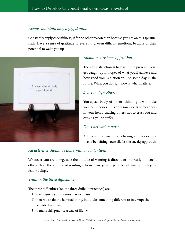#### *Always maintain only a joyful mind.*

Constantly apply cheerfulness, if for no other reason than because you are on this spiritual path. Have a sense of gratitude to everything, even difficult emotions, because of their potential to wake you up.



#### *Abandon any hope of fruition*.

The key instruction is to stay in the present. Don't get caught up in hopes of what you'll achieve and how good your situation will be some day in the future. What you do right now is what matters.

#### *Don't malign others*.

You speak badly of others, thinking it will make you feel superior. This only sows seeds of meanness in your heart, causing others not to trust you and causing you to suffer.

#### *Don't act with a twist*.

Acting with a twist means having an ulterior motive of benefiting yourself. It's the sneaky approach.

#### *All activities should be done with one intention*.

Whatever you are doing, take the attitude of wanting it directly or indirectly to benefit others. Take the attitude of wanting it to increase your experience of kinship with your fellow beings.

#### *Train in the three difficulties*.

The three difficulties (or, the three difficult practices) are:

- 1) to recognize your neurosis as neurosis;
- 2) then *not* to do the habitual thing, but to do something different to interrupt the neurotic habit; and
- 3) to make this practice a way of life.  $\triangleleft$

*From* The Compassion Box *by Pema Chödrön, available from Shambhala Publications.*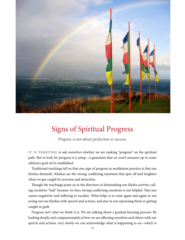

## Signs of Spiritual Progress

*Progress is not about perfection or success.*

IT IS TEMPTING to ask ourselves whether we are making "progress" on the spiritual path. But to look for progress is a setup—a guarantee that we won't measure up to some arbitrary goal we've established.

Traditional teachings tell us that one sign of progress in meditation practice is that our *kleshas* diminish. Kleshas are the strong conflicting emotions that spin off and heighten when we get caught by aversion and attraction.

Though the teachings point us in the direction of diminishing our klesha activity, calling ourselves "bad" because we have strong conflicting emotions is not helpful. That just causes negativity and suffering to escalate. What helps is to train again and again in not acting out our kleshas with speech and actions, and also in not repressing them or getting caught in guilt.

Progress isn't what we think it is. We are talking about a gradual learning process. By looking deeply and compassionately at how we are affecting ourselves and others with our speech and actions, very slowly we can acknowledge what is happening to us—which is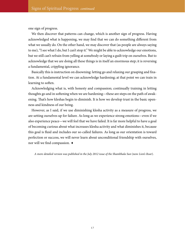one sign of progress.

We then discover that patterns can change, which is another sign of progress. Having acknowledged what is happening, we may find that we can do something different from what we usually do. On the other hand, we may discover that (as people are always saying to me), "I see what I do, but I can't stop it." We might be able to acknowledge our emotions, but we still can't refrain from yelling at somebody or laying a guilt trip on ourselves. But to acknowledge that we are doing all these things is in itself an enormous step; it is reversing a fundamental, crippling ignorance.

Basically this is instruction on disowning: letting go and relaxing our grasping and fixation. At a fundamental level we can acknowledge hardening; at that point we can train in learning to soften.

Acknowledging what is, with honesty and compassion; continually training in letting thoughts go and in softening when we are hardening—these are steps on the path of awakening. That's how kleshas begin to diminish. It is how we develop trust in the basic openness and kindness of our being.

However, as I said, if we use diminishing klesha activity as a measure of progress, we are setting ourselves up for failure. As long as we experience strong emotions—even if we also experience peace—we will feel that we have failed. It is far more helpful to have a goal of becoming curious about what increases klesha activity and what diminishes it, because this goal is fluid and includes our so-called failures. As long as our orientation is toward perfection or success, we will never learn about unconditional friendship with ourselves, nor will we find compassion. ♦

*A more detailed version was published in the July 2012 issue of the Shambhala Sun* (now *Lion's Roar*)*.*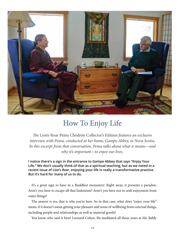

## How To Enjoy Life

*The* Lion's Roar Pema Chödrön Collector's Edition *features an exclusive interview with Pema, conducted at her home, Gampo Abbey, in Nova Scotia. In this excerpt from that conversation, Pema talks about what it means—and why it's important—to enjoy our lives.*

**I notice there's a sign in the entrance to Gampo Abbey that says "Enjoy Your Life." We don't usually think of that as a spiritual teaching, but as we noted in a recent issue of** *Lion's Roar***, enjoying your life is really a transformative practice. But it's hard for many of us to do.**

It's a great sign to have in a Buddhist monastery. Right away, it presents a paradox: Aren't you here to escape all that hedonism? Aren't you here not to seek enjoyment from outer things?

The answer is yes, that is why you're here. So in that case, what does "enjoy your life" mean, if it doesn't mean getting your pleasure and sense of wellbeing from external things, including people and relationships as well as material goods?

You know who said it best? Leonard Cohen. He meditated all those years at Mt. Baldy